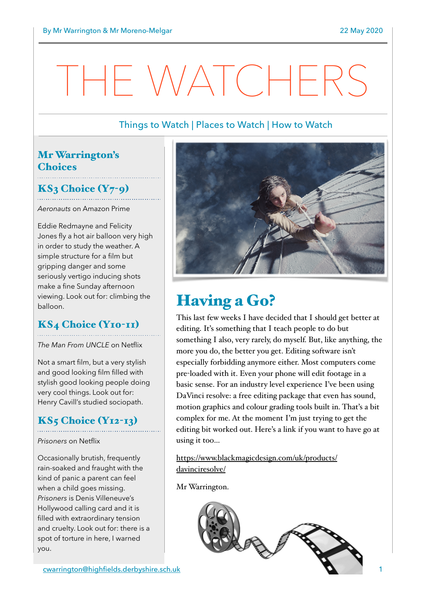# HE WATCHERS

#### Things to Watch | Places to Watch | How to Watch

#### Mr Warrington's **Choices**

## $KS<sub>3</sub>$  Choice  $(Y<sub>7</sub>-q)$

*Aeronauts* on Amazon Prime

Eddie Redmayne and Felicity Jones fly a hot air balloon very high in order to study the weather. A simple structure for a film but gripping danger and some seriously vertigo inducing shots make a fine Sunday afternoon viewing. Look out for: climbing the balloon.

#### KS4 Choice (Y10-11)

*The Man From UNCLE* on Netflix

Not a smart film, but a very stylish and good looking film filled with stylish good looking people doing very cool things. Look out for: Henry Cavill's studied sociopath.

## $KS<sub>5</sub> Choice (Y<sub>12-13</sub>)$

*Prisoners* on Netflix

Occasionally brutish, frequently rain-soaked and fraught with the kind of panic a parent can feel when a child goes missing. *Prisoners* is Denis Villeneuve's Hollywood calling card and it is filled with extraordinary tension and cruelty. Look out for: there is a spot of torture in here, I warned you.



## Having a Go?

This last few weeks I have decided that I should get better at editing. It's something that I teach people to do but something I also, very rarely, do myself. But, like anything, the more you do, the better you get. Editing software isn't especially forbidding anymore either. Most computers come pre-loaded with it. Even your phone will edit footage in a basic sense. For an industry level experience I've been using DaVinci resolve: a free editing package that even has sound, motion graphics and colour grading tools built in. That's a bit complex for me. At the moment I'm just trying to get the editing bit worked out. Here's a link if you want to have go at using it too…

[https://www.blackmagicdesign.com/uk/products/](https://www.blackmagicdesign.com/uk/products/davinciresolve/) [davinciresolve/](https://www.blackmagicdesign.com/uk/products/davinciresolve/)

Mr Warrington.



[cwarrington@highfields.derbyshire.sch.uk](mailto:cwarrington@highfields.derbyshire.sch.uk) 1